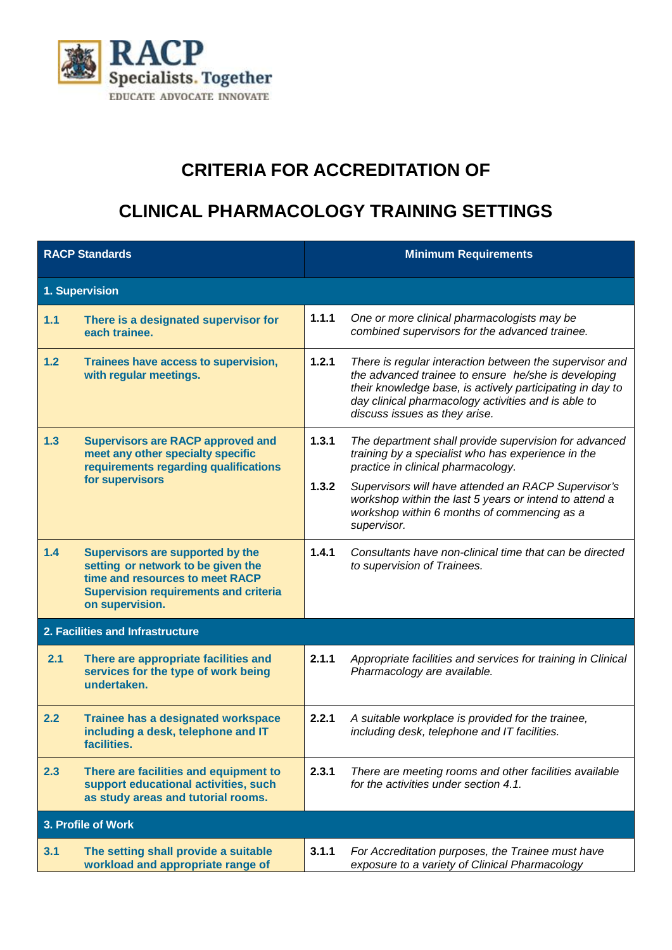

## **CRITERIA FOR ACCREDITATION OF**

## **CLINICAL PHARMACOLOGY TRAINING SETTINGS**

| <b>RACP Standards</b>            |                                                                                                                                                                              | <b>Minimum Requirements</b> |                                                                                                                                                                                                                                                                     |  |  |
|----------------------------------|------------------------------------------------------------------------------------------------------------------------------------------------------------------------------|-----------------------------|---------------------------------------------------------------------------------------------------------------------------------------------------------------------------------------------------------------------------------------------------------------------|--|--|
| 1. Supervision                   |                                                                                                                                                                              |                             |                                                                                                                                                                                                                                                                     |  |  |
| $1.1$                            | There is a designated supervisor for<br>each trainee.                                                                                                                        | 1.1.1                       | One or more clinical pharmacologists may be<br>combined supervisors for the advanced trainee.                                                                                                                                                                       |  |  |
| 1.2                              | Trainees have access to supervision,<br>with regular meetings.                                                                                                               | 1.2.1                       | There is regular interaction between the supervisor and<br>the advanced trainee to ensure he/she is developing<br>their knowledge base, is actively participating in day to<br>day clinical pharmacology activities and is able to<br>discuss issues as they arise. |  |  |
| 1.3                              | <b>Supervisors are RACP approved and</b><br>meet any other specialty specific<br>requirements regarding qualifications<br>for supervisors                                    | 1.3.1                       | The department shall provide supervision for advanced<br>training by a specialist who has experience in the<br>practice in clinical pharmacology.                                                                                                                   |  |  |
|                                  |                                                                                                                                                                              | 1.3.2                       | Supervisors will have attended an RACP Supervisor's<br>workshop within the last 5 years or intend to attend a<br>workshop within 6 months of commencing as a<br>supervisor.                                                                                         |  |  |
| 1.4                              | Supervisors are supported by the<br>setting or network to be given the<br>time and resources to meet RACP<br><b>Supervision requirements and criteria</b><br>on supervision. | 1.4.1                       | Consultants have non-clinical time that can be directed<br>to supervision of Trainees.                                                                                                                                                                              |  |  |
| 2. Facilities and Infrastructure |                                                                                                                                                                              |                             |                                                                                                                                                                                                                                                                     |  |  |
| 2.1                              | There are appropriate facilities and<br>services for the type of work being<br>undertaken.                                                                                   | 2.1.1                       | Appropriate facilities and services for training in Clinical<br>Pharmacology are available.                                                                                                                                                                         |  |  |
| 2.2                              | <b>Trainee has a designated workspace</b><br>including a desk, telephone and IT<br>facilities.                                                                               | 2.2.1                       | A suitable workplace is provided for the trainee,<br>including desk, telephone and IT facilities.                                                                                                                                                                   |  |  |
| 2.3                              | There are facilities and equipment to<br>support educational activities, such<br>as study areas and tutorial rooms.                                                          | 2.3.1                       | There are meeting rooms and other facilities available<br>for the activities under section 4.1.                                                                                                                                                                     |  |  |
| 3. Profile of Work               |                                                                                                                                                                              |                             |                                                                                                                                                                                                                                                                     |  |  |
| 3.1                              | The setting shall provide a suitable<br>workload and appropriate range of                                                                                                    | 3.1.1                       | For Accreditation purposes, the Trainee must have<br>exposure to a variety of Clinical Pharmacology                                                                                                                                                                 |  |  |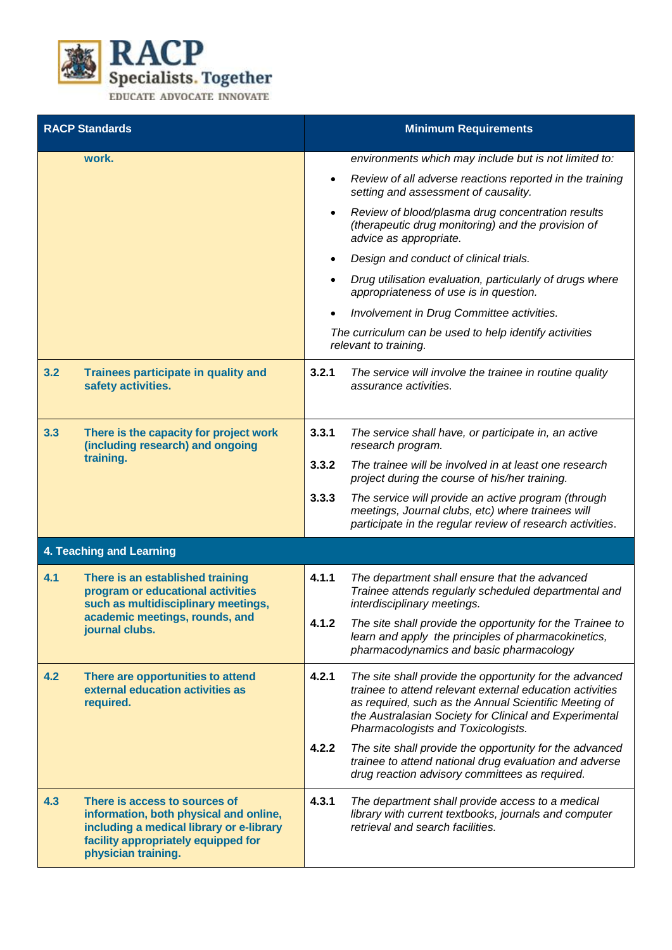

| <b>RACP Standards</b>                                                                                                                                                                    | <b>Minimum Requirements</b>                                                                                                                                                                                                                                                           |  |  |  |  |
|------------------------------------------------------------------------------------------------------------------------------------------------------------------------------------------|---------------------------------------------------------------------------------------------------------------------------------------------------------------------------------------------------------------------------------------------------------------------------------------|--|--|--|--|
| work.                                                                                                                                                                                    | environments which may include but is not limited to:                                                                                                                                                                                                                                 |  |  |  |  |
|                                                                                                                                                                                          | Review of all adverse reactions reported in the training<br>$\bullet$<br>setting and assessment of causality.                                                                                                                                                                         |  |  |  |  |
|                                                                                                                                                                                          | Review of blood/plasma drug concentration results<br>$\bullet$<br>(therapeutic drug monitoring) and the provision of<br>advice as appropriate.                                                                                                                                        |  |  |  |  |
|                                                                                                                                                                                          | Design and conduct of clinical trials.                                                                                                                                                                                                                                                |  |  |  |  |
|                                                                                                                                                                                          | Drug utilisation evaluation, particularly of drugs where<br>appropriateness of use is in question.                                                                                                                                                                                    |  |  |  |  |
|                                                                                                                                                                                          | Involvement in Drug Committee activities.                                                                                                                                                                                                                                             |  |  |  |  |
|                                                                                                                                                                                          | The curriculum can be used to help identify activities<br>relevant to training.                                                                                                                                                                                                       |  |  |  |  |
| 3.2<br>Trainees participate in quality and<br>safety activities.                                                                                                                         | 3.2.1<br>The service will involve the trainee in routine quality<br>assurance activities.                                                                                                                                                                                             |  |  |  |  |
| 3.3<br>There is the capacity for project work<br>(including research) and ongoing                                                                                                        | 3.3.1<br>The service shall have, or participate in, an active<br>research program.                                                                                                                                                                                                    |  |  |  |  |
| training.                                                                                                                                                                                | 3.3.2<br>The trainee will be involved in at least one research<br>project during the course of his/her training.                                                                                                                                                                      |  |  |  |  |
|                                                                                                                                                                                          | 3.3.3<br>The service will provide an active program (through<br>meetings, Journal clubs, etc) where trainees will<br>participate in the regular review of research activities.                                                                                                        |  |  |  |  |
| 4. Teaching and Learning                                                                                                                                                                 |                                                                                                                                                                                                                                                                                       |  |  |  |  |
| 4.1<br>There is an established training<br>program or educational activities<br>such as multidisciplinary meetings,                                                                      | 4.1.1<br>The department shall ensure that the advanced<br>Trainee attends regularly scheduled departmental and<br>interdisciplinary meetings.                                                                                                                                         |  |  |  |  |
| academic meetings, rounds, and<br>journal clubs.                                                                                                                                         | The site shall provide the opportunity for the Trainee to<br>4.1.2<br>learn and apply the principles of pharmacokinetics,<br>pharmacodynamics and basic pharmacology                                                                                                                  |  |  |  |  |
| 4.2<br>There are opportunities to attend<br>external education activities as<br>required.                                                                                                | 4.2.1<br>The site shall provide the opportunity for the advanced<br>trainee to attend relevant external education activities<br>as required, such as the Annual Scientific Meeting of<br>the Australasian Society for Clinical and Experimental<br>Pharmacologists and Toxicologists. |  |  |  |  |
|                                                                                                                                                                                          | 4.2.2<br>The site shall provide the opportunity for the advanced<br>trainee to attend national drug evaluation and adverse<br>drug reaction advisory committees as required.                                                                                                          |  |  |  |  |
| 4.3<br>There is access to sources of<br>information, both physical and online,<br>including a medical library or e-library<br>facility appropriately equipped for<br>physician training. | 4.3.1<br>The department shall provide access to a medical<br>library with current textbooks, journals and computer<br>retrieval and search facilities.                                                                                                                                |  |  |  |  |